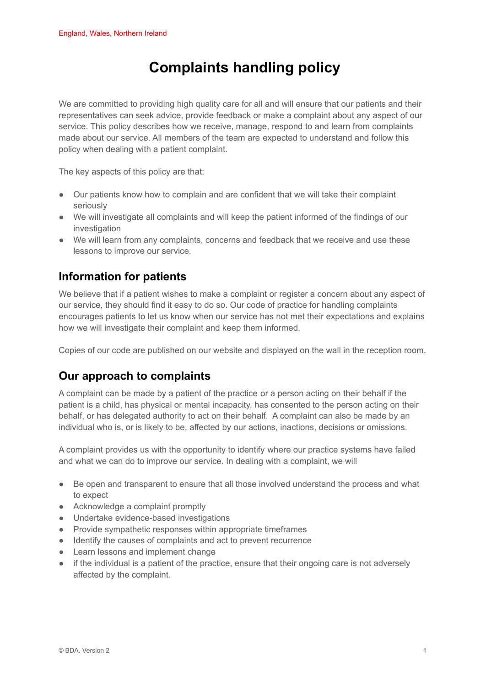# **Complaints handling policy**

We are committed to providing high quality care for all and will ensure that our patients and their representatives can seek advice, provide feedback or make a complaint about any aspect of our service. This policy describes how we receive, manage, respond to and learn from complaints made about our service. All members of the team are expected to understand and follow this policy when dealing with a patient complaint.

The key aspects of this policy are that:

- Our patients know how to complain and are confident that we will take their complaint seriously
- We will investigate all complaints and will keep the patient informed of the findings of our investigation
- We will learn from any complaints, concerns and feedback that we receive and use these lessons to improve our service.

# **Information for patients**

We believe that if a patient wishes to make a complaint or register a concern about any aspect of our service, they should find it easy to do so. Our code of practice for handling complaints encourages patients to let us know when our service has not met their expectations and explains how we will investigate their complaint and keep them informed.

Copies of our code are published on our website and displayed on the wall in the reception room.

# **Our approach to complaints**

A complaint can be made by a patient of the practice or a person acting on their behalf if the patient is a child, has physical or mental incapacity, has consented to the person acting on their behalf, or has delegated authority to act on their behalf. A complaint can also be made by an individual who is, or is likely to be, affected by our actions, inactions, decisions or omissions.

A complaint provides us with the opportunity to identify where our practice systems have failed and what we can do to improve our service. In dealing with a complaint, we will

- Be open and transparent to ensure that all those involved understand the process and what to expect
- Acknowledge a complaint promptly
- Undertake evidence-based investigations
- Provide sympathetic responses within appropriate timeframes
- Identify the causes of complaints and act to prevent recurrence
- Learn lessons and implement change
- if the individual is a patient of the practice, ensure that their ongoing care is not adversely affected by the complaint.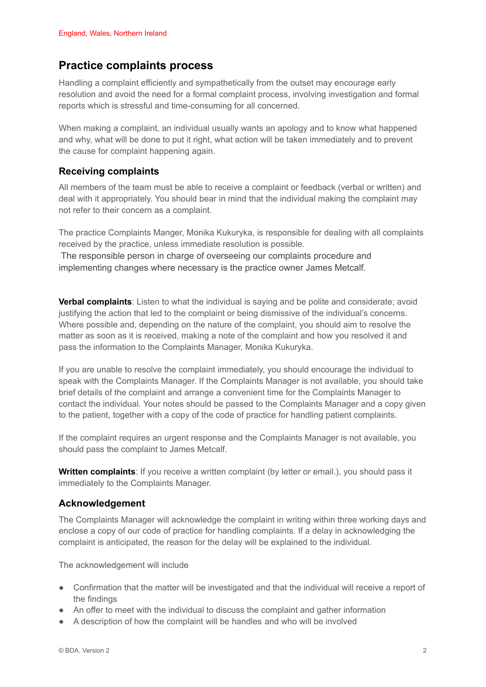## **Practice complaints process**

Handling a complaint efficiently and sympathetically from the outset may encourage early resolution and avoid the need for a formal complaint process, involving investigation and formal reports which is stressful and time-consuming for all concerned.

When making a complaint, an individual usually wants an apology and to know what happened and why, what will be done to put it right, what action will be taken immediately and to prevent the cause for complaint happening again.

#### **Receiving complaints**

All members of the team must be able to receive a complaint or feedback (verbal or written) and deal with it appropriately. You should bear in mind that the individual making the complaint may not refer to their concern as a complaint.

The practice Complaints Manger, Monika Kukuryka, is responsible for dealing with all complaints received by the practice, unless immediate resolution is possible.

The responsible person in charge of overseeing our complaints procedure and implementing changes where necessary is the practice owner James Metcalf.

**Verbal complaints**: Listen to what the individual is saying and be polite and considerate; avoid justifying the action that led to the complaint or being dismissive of the individual's concerns. Where possible and, depending on the nature of the complaint, you should aim to resolve the matter as soon as it is received, making a note of the complaint and how you resolved it and pass the information to the Complaints Manager, Monika Kukuryka.

If you are unable to resolve the complaint immediately, you should encourage the individual to speak with the Complaints Manager. If the Complaints Manager is not available, you should take brief details of the complaint and arrange a convenient time for the Complaints Manager to contact the individual. Your notes should be passed to the Complaints Manager and a copy given to the patient, together with a copy of the code of practice for handling patient complaints.

If the complaint requires an urgent response and the Complaints Manager is not available, you should pass the complaint to James Metcalf.

**Written complaints**: If you receive a written complaint (by letter or email.), you should pass it immediately to the Complaints Manager.

#### **Acknowledgement**

The Complaints Manager will acknowledge the complaint in writing within three working days and enclose a copy of our code of practice for handling complaints. If a delay in acknowledging the complaint is anticipated, the reason for the delay will be explained to the individual.

The acknowledgement will include

- Confirmation that the matter will be investigated and that the individual will receive a report of the findings
- An offer to meet with the individual to discuss the complaint and gather information
- A description of how the complaint will be handles and who will be involved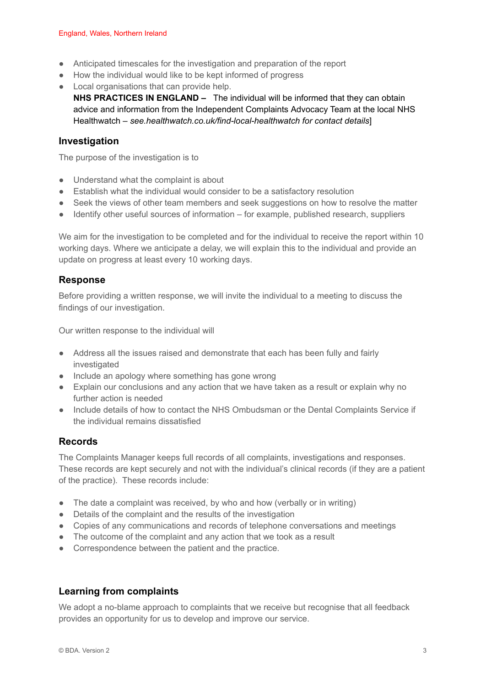- Anticipated timescales for the investigation and preparation of the report
- How the individual would like to be kept informed of progress
- Local organisations that can provide help.
	- **NHS PRACTICES IN ENGLAND –** The individual will be informed that they can obtain advice and information from the Independent Complaints Advocacy Team at the local NHS Healthwatch – *see.healthwatch.co.uk/find-local-healthwatch for contact details*]

#### **Investigation**

The purpose of the investigation is to

- Understand what the complaint is about
- Establish what the individual would consider to be a satisfactory resolution
- Seek the views of other team members and seek suggestions on how to resolve the matter
- Identify other useful sources of information for example, published research, suppliers

We aim for the investigation to be completed and for the individual to receive the report within 10 working days. Where we anticipate a delay, we will explain this to the individual and provide an update on progress at least every 10 working days.

## **Response**

Before providing a written response, we will invite the individual to a meeting to discuss the findings of our investigation.

Our written response to the individual will

- Address all the issues raised and demonstrate that each has been fully and fairly investigated
- Include an apology where something has gone wrong
- Explain our conclusions and any action that we have taken as a result or explain why no further action is needed
- Include details of how to contact the NHS Ombudsman or the Dental Complaints Service if the individual remains dissatisfied

#### **Records**

The Complaints Manager keeps full records of all complaints, investigations and responses. These records are kept securely and not with the individual's clinical records (if they are a patient of the practice). These records include:

- The date a complaint was received, by who and how (verbally or in writing)
- Details of the complaint and the results of the investigation
- Copies of any communications and records of telephone conversations and meetings
- The outcome of the complaint and any action that we took as a result
- Correspondence between the patient and the practice.

## **Learning from complaints**

We adopt a no-blame approach to complaints that we receive but recognise that all feedback provides an opportunity for us to develop and improve our service.